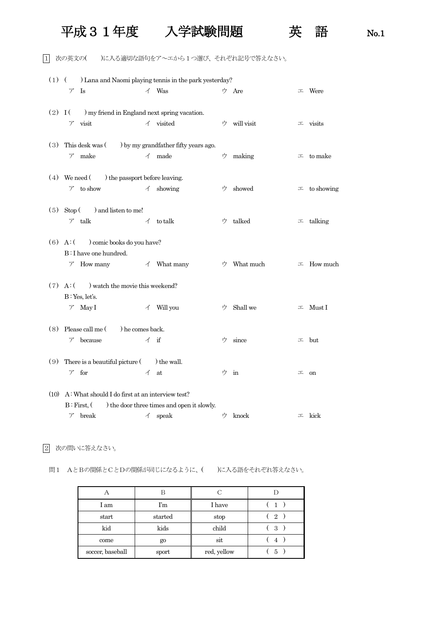## 平成31年度 入学試験問題 英 語 No.1



1 次の英文の( )に入る適切な語句をア~エから1つ選び、それぞれ記号で答えなさい。

| $(1)$ ( |                                                        |                          | ) Lana and Naomi playing tennis in the park yesterday? |   |            |   |                    |
|---------|--------------------------------------------------------|--------------------------|--------------------------------------------------------|---|------------|---|--------------------|
|         | $\operatorname{Is}$<br>$\mathcal{T}$                   |                          | $\angle$ Was                                           |   | ウ Are      |   | $\perp$ Were       |
|         | $(2)$ I ( ) my friend in England next spring vacation. |                          |                                                        |   |            |   |                    |
|         | $\nabla$ visit                                         |                          | $\checkmark$ visited                                   | ウ | will visit |   | $\perp$ visits     |
|         |                                                        |                          |                                                        |   |            |   |                    |
| (3)     | This desk was $($ ) by my grandfather fifty years ago. |                          |                                                        |   |            |   |                    |
|         | $\nabla$ make                                          |                          | $\measuredangle$ made                                  | ウ | making     |   | $\perp$ to make    |
|         | $(4)$ We need $($ ) the passport before leaving.       |                          |                                                        |   |            |   |                    |
|         | $\mathcal{T}$ to show                                  |                          | $\measuredangle$ showing                               | ウ | showed     |   | $\perp$ to showing |
|         |                                                        |                          |                                                        |   |            |   |                    |
| (5)     | $Stop( )$ and listen to me!                            |                          |                                                        |   |            |   |                    |
|         | $\nabla$ talk                                          |                          | $\checkmark$ to talk                                   | ウ | talked     |   | $\pm$ talking      |
|         | $(6)$ A: $($ ) comic books do you have?                |                          |                                                        |   |            |   |                    |
|         | B: I have one hundred.                                 |                          |                                                        |   |            |   |                    |
|         | $\mathcal{F}$ How many                                 |                          | $\angle$ What many                                     | ウ | What much  |   | $\perp$ How much   |
|         |                                                        |                          |                                                        |   |            |   |                    |
| (7)     | $A:$ ( ) watch the movie this weekend?                 |                          |                                                        |   |            |   |                    |
|         | B: Yes, let's.                                         |                          |                                                        |   |            |   |                    |
|         | $\nabla$ May I                                         | $\overline{\mathcal{A}}$ | Will you                                               | ウ | Shall we   |   | $\perp$ Must I     |
|         |                                                        |                          |                                                        |   |            |   |                    |
| (8)     | Please call me () he comes back.                       |                          |                                                        |   |            |   |                    |
|         | because<br>$\mathcal{T}$                               |                          | $\measuredangle$ if                                    | ウ | since      |   | $\perp$ but        |
|         |                                                        |                          |                                                        |   |            |   |                    |
| (9)     | There is a beautiful picture (                         |                          | ) the wall.                                            |   |            |   |                    |
|         | for<br>$\mathcal{T}$                                   | $\overline{1}$           | at                                                     |   | ウ in       | 工 | on                 |
| (10)    | A: What should I do first at an interview test?        |                          |                                                        |   |            |   |                    |
|         | B: First, (                                            |                          | ) the door three times and open it slowly.             |   |            |   |                    |
|         | break<br>$\mathcal{T}$                                 | イ                        | speak                                                  | ウ | knock      |   | $\perp$ kick       |
|         |                                                        |                          |                                                        |   |            |   |                    |

2 次の問いに答えなさい。

問1 AとBの関係とCとDの関係が同じになるように、( )に入る語をそれぞれ答えなさい。

|                  |         | С           |                |
|------------------|---------|-------------|----------------|
| I am             | I'm     | I have      | $\mathbf{1}$   |
| start            | started | stop        | $\overline{2}$ |
| kid              | kids    | child       | 3              |
| come             | go      | sit         | 4              |
| soccer, baseball | sport   | red, yellow | 5              |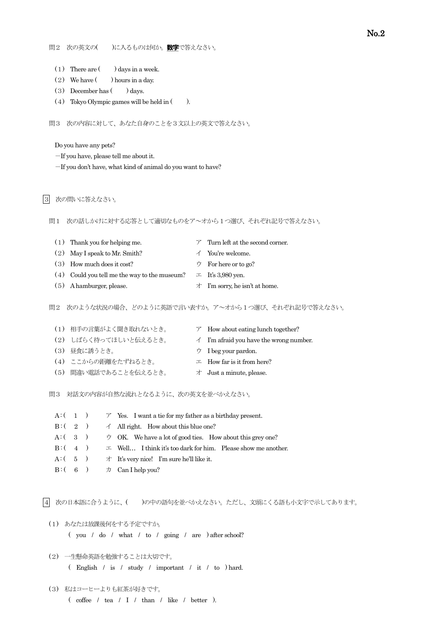- (1) There are  $($   $)$  days in a week.
- (2) We have  $($  ) hours in a day.
- (3) December has  $($  ) days.
- (4) Tokyo Olympic games will be held in  $($ ).

問3 次の内容に対して、あなた自身のことを3文以上の英文で答えなさい。

Do you have any pets?

-If you have, please tell me about it.

-If you don't have, what kind of animal do you want to have?

## |3| 次の問いに答えなさい。

問1 次の話しかけに対する応答として適切なものをア~オから1つ選び、それぞれ記号で答えなさい。

- (1) Thank you for helping me.  $\mathcal{T}$  Turn left at the second corner.
- (2) May I speak to Mr. Smith?  $\checkmark$  You're welcome.
- (3) How much does it cost?  $\forall$  For here or to go?
- (4) Could you tell me the way to the museum?  $\pm$  It's 3,980 yen.
- (5) A hamburger, please.  $\forall$  I'm sorry, he isn't at home.
- -

問2 次のような状況の場合、どのように英語で言い表すか。ア~オから1つ選び、それぞれ記号で答えなさい。

|  | (1) 相手の言葉がよく聞き取れないとき。 | $\mathcal{T}$ How about eating lunch together? |
|--|-----------------------|------------------------------------------------|
|  | (2) しばらく待ってほしいと伝えるとき。 | $\angle$ I'm afraid you have the wrong number. |
|  | (3) 昼食に誘うとき。          | $\dot{\triangledown}$ I beg your pardon.       |
|  | (4) ここからの距離をたずねるとき。   | $\perp$ How far is it from here?               |
|  | (5) 間違い電話であることを伝えるとき。 | $\forall$ Just a minute, please.               |
|  |                       |                                                |

問3 対話文の内容が自然な流れとなるように、次の英文を並べかえなさい。

| $A: (1)$ $\triangleright$ Yes. I want a tie for my father as a birthday present. |
|----------------------------------------------------------------------------------|
| $B: (-2)$ $\uparrow$ All right. How about this blue one?                         |
| A: $(3)$ $\forall$ OK. We have a lot of good ties. How about this grey one?      |
| $B: (-4)$ $\perp$ Well I think it's too dark for him. Please show me another.    |
| A: $(5)$ $\pi$ It's very nice! I'm sure he'll like it.                           |
| $B: (6)$ $\pi$ Can I help you?                                                   |

|4| 次の日本語に合うように、( )の中の語句を並べかえなさい。ただし、文頭にくる語も小文字で示してあります。

- (1) あなたは放課後何をする予定ですか。 ( you / do / what / to / going / are ) after school?
- (2) 一生懸命英語を勉強することは大切です。 ( English / is / study / important / it / to ) hard.
- (3) 私はコーヒーよりも紅茶が好きです。 ( coffee / tea / I / than / like / better ).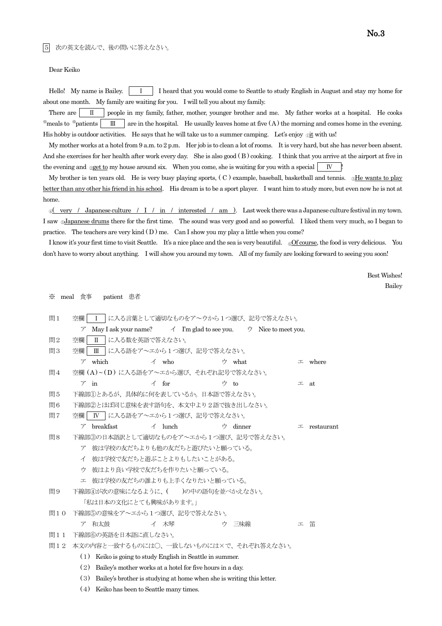5 次の英文を読んで、後の問いに答えなさい。

Dear Keiko

Hello! My name is Bailey. | I | I heard that you would come to Seattle to study English in August and stay my home for about one month. My family are waiting for you. I will tell you about my family.

There are  $\parallel$  II people in my family, father, mother, younger brother and me. My father works at a hospital. He cooks  $\frac{1}{2}$  meals to  $\frac{1}{2}$  are in the hospital. He usually leaves home at five (A) the morning and comes home in the evening. His hobby is outdoor activities. He says that he will take us to a summer camping. Let's enjoy  $\phi$ it with us!

My mother works at a hotel from 9 a.m. to 2 p.m. Her job is to clean a lot of rooms. It is very hard, but she has never been absent. And she exercises for her health after work every day. She is also good (B) cooking. I think that you arrive at the airport at five in the evening and  $\Box$ get to my house around six. When you come, she is waiting for you with a special  $\Box$  N

My brother is ten years old. He is very busy playing sports, (C) example, baseball, basketball and tennis. <sup>3He wants</sup> to play better than any other his friend in his school. His dream is to be a sport player. I want him to study more, but even now he is not at home.

 $\frac{1}{2}$  very / Japanese culture / I / in / interested / am ). Last week there was a Japanese culture festival in my town. I saw ®Japanese drums there for the first time. The sound was very good and so powerful. I liked them very much, so I began to practice. The teachers are very kind  $(D)$  me. Can I show you my play a little when you come?

I know it's your first time to visit Seattle. It's a nice place and the sea is very beautiful. ©Of course, the food is very delicious. You don't have to worry about anything. I will show you around my town. All of my family are looking forward to seeing you soon!

> Best Wishes! Bailey

※ meal 食事 patient 患者

| 問1  | 空欄<br>Ι                                |                                                           | に入る言葉として適切なものをア~ウから1つ選び、記号で答えなさい。                                                                     |                    |
|-----|----------------------------------------|-----------------------------------------------------------|-------------------------------------------------------------------------------------------------------|--------------------|
|     | $\mathcal{T}$                          |                                                           | May I ask your name? $\overrightarrow{A}$ I'm glad to see you. $\overrightarrow{D}$ Nice to meet you. |                    |
| 問2  | 空欄<br>$\mathbf{I}$                     | に入る数を英語で答えなさい。                                            |                                                                                                       |                    |
| 問3  | 空欄<br>$\mathbb{I}$                     | に入る語をア〜エから1つ選び、記号で答えなさい。                                  |                                                                                                       |                    |
|     | $\nabla$ which                         | $\measuredangle$ who                                      | ウ what                                                                                                | $\perp$ where      |
| 問4  | 空欄 (A)~(D) に入る語をア~エから選び、それぞれ記号で答えなさい。  |                                                           |                                                                                                       |                    |
|     | $\nabla$ in                            | $\triangle$ for                                           | ウ to                                                                                                  | 工<br>at            |
| 問5  | 下線部①とあるが、具体的に何を表しているか。日本語で答えなさい。       |                                                           |                                                                                                       |                    |
| 問6  | 下線部②とほぼ同じ意味を表す語句を、本文中より2語で抜き出しなさい。     |                                                           |                                                                                                       |                    |
| 問7  | 空欄                                     | Ⅳ │に入る語をア~エから1つ選び、記号で答えなさい。                               |                                                                                                       |                    |
|     | breakfast<br>$\mathcal{T}$             | $\angle$ lunch                                            | ウ dinner                                                                                              | $\perp$ restaurant |
| 問8  | 下線部③の日本語訳として適切なものをア~エから1つ選び、記号で答えなさい。  |                                                           |                                                                                                       |                    |
|     | $\mathcal{T}$                          | 彼は学校の友だちよりも他の友だちと遊びたいと願っている。                              |                                                                                                       |                    |
|     | イ                                      | 彼は学校で友だちと遊ぶことよりもしたいことがある。                                 |                                                                                                       |                    |
|     | ウ                                      | 彼はより良い学校で友だちを作りたいと願っている。                                  |                                                                                                       |                    |
|     | 工                                      | 彼は学校の友だちの誰よりも上手くなりたいと願っている。                               |                                                                                                       |                    |
| 問9  | 下線部④が次の意味になるように、( )の中の語句を並べかえなさい。      |                                                           |                                                                                                       |                    |
|     | 「私は日本の文化にとても興味があります。」                  |                                                           |                                                                                                       |                    |
| 問10 | 下線部⑤の意味をア〜エから1つ選び、記号で答えなさい。            |                                                           |                                                                                                       |                    |
|     | 和太鼓<br>$\mathcal{T}$                   | イ 木琴                                                      | 三味線<br>ウ                                                                                              | 笛<br>工             |
| 問11 | 下線部6の英語を日本語に直しなさい。                     |                                                           |                                                                                                       |                    |
| 問12 | 本文の内容と一致するものには〇、一致しないものには×で、それぞれ答えなさい。 |                                                           |                                                                                                       |                    |
|     | (1)                                    | Keiko is going to study English in Seattle in summer.     |                                                                                                       |                    |
|     | (2)                                    | Bailey's mother works at a hotel for five hours in a day. |                                                                                                       |                    |
|     | (3)                                    |                                                           | Bailey's brother is studying at home when she is writing this letter.                                 |                    |

(4) Keiko has been to Seattle many times.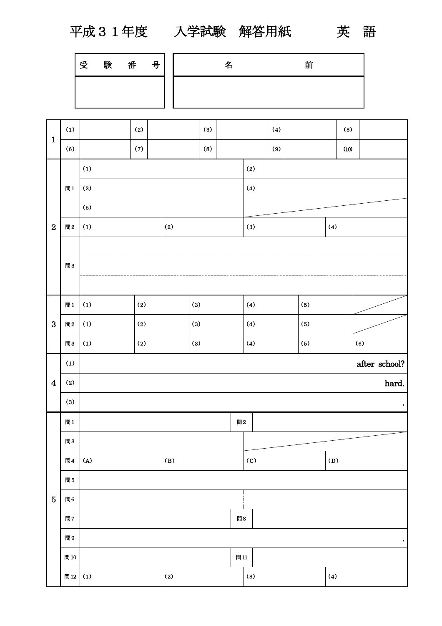平成31年度 入学試験 解答用紙 英 語

| 受 | 験 | 番 | 号 | タ<br>- | 前 |
|---|---|---|---|--------|---|
|   |   |   |   |        |   |

|                         | (1) |       | (2) |       | (3)   |     |                            | (4) |     | (5)           |           |  |  |  |
|-------------------------|-----|-------|-----|-------|-------|-----|----------------------------|-----|-----|---------------|-----------|--|--|--|
| $\mathbf{1}$            | (6) |       | (7) |       | (8)   |     |                            | (9) |     | (10)          |           |  |  |  |
|                         |     | (1)   |     |       |       |     | (2)                        |     |     |               |           |  |  |  |
|                         | 間1  | $(3)$ |     |       |       |     | (4)                        |     |     |               |           |  |  |  |
|                         |     | (5)   |     |       |       |     |                            |     |     |               |           |  |  |  |
| $\overline{2}$          | 問2  | (1)   |     | (2)   |       |     | $(3)$                      |     |     | (4)           |           |  |  |  |
|                         |     |       |     |       |       |     |                            |     |     |               |           |  |  |  |
|                         | 問3  |       |     |       |       |     |                            |     |     |               |           |  |  |  |
|                         |     |       |     |       |       |     |                            |     |     |               |           |  |  |  |
|                         | 問1  | (1)   | (2) |       |       |     | (4)                        |     | (5) |               |           |  |  |  |
| 3                       | 問2  | (1)   | (2) |       | $(3)$ |     | (4)                        |     | (5) |               |           |  |  |  |
|                         | 問3  | (1)   | (2) | $(3)$ |       |     | (4)                        |     | (5) |               | (6)       |  |  |  |
|                         |     |       |     |       |       |     |                            |     |     | after school? |           |  |  |  |
|                         | (1) |       |     |       |       |     |                            |     |     |               |           |  |  |  |
| $\overline{\mathbf{4}}$ | (2) |       |     |       |       |     |                            |     |     |               | hard.     |  |  |  |
|                         | (3) |       |     |       |       |     |                            |     |     |               | $\bullet$ |  |  |  |
|                         | 問1  |       |     |       |       | 問2  |                            |     |     |               |           |  |  |  |
|                         | 問3  |       |     |       |       |     |                            |     |     |               |           |  |  |  |
|                         | 問4  | (A)   |     | (B)   |       |     | $\left( \mathrm{c}\right)$ |     |     | (D)           |           |  |  |  |
|                         | 問5  |       |     |       |       |     |                            |     |     |               |           |  |  |  |
| $\overline{5}$          | 間6  |       |     |       |       |     |                            |     |     |               |           |  |  |  |
|                         | 問7  |       |     |       |       | 問8  |                            |     |     |               |           |  |  |  |
|                         | 問9  |       |     |       |       |     |                            |     |     |               | $\bullet$ |  |  |  |
|                         | 問10 |       |     |       |       | 問11 |                            |     |     |               |           |  |  |  |